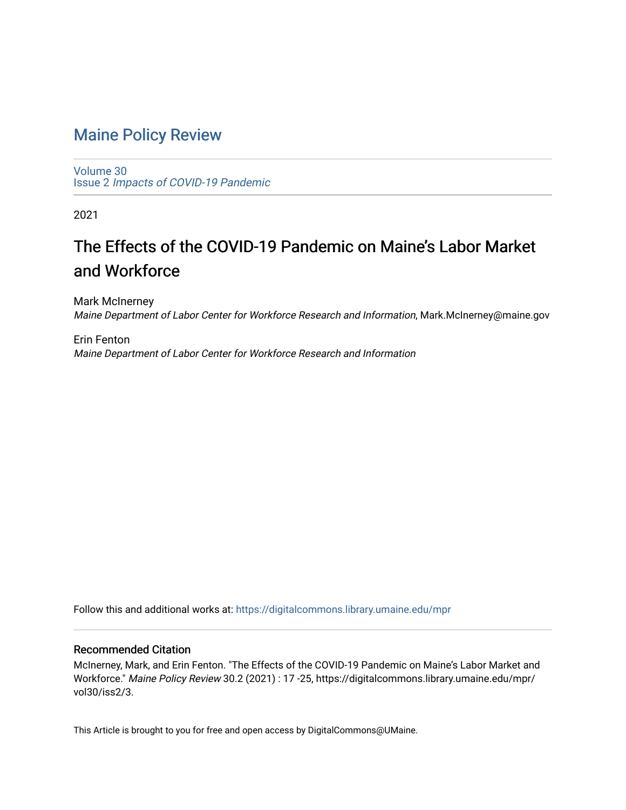# [Maine Policy Review](https://digitalcommons.library.umaine.edu/mpr)

[Volume 30](https://digitalcommons.library.umaine.edu/mpr/vol30) Issue 2 [Impacts of COVID-19 Pandemic](https://digitalcommons.library.umaine.edu/mpr/vol30/iss2)

2021

# The Effects of the COVID-19 Pandemic on Maine's Labor Market and Workforce

Mark McInerney Maine Department of Labor Center for Workforce Research and Information, Mark.McInerney@maine.gov

Erin Fenton Maine Department of Labor Center for Workforce Research and Information

Follow this and additional works at: [https://digitalcommons.library.umaine.edu/mpr](https://digitalcommons.library.umaine.edu/mpr?utm_source=digitalcommons.library.umaine.edu%2Fmpr%2Fvol30%2Fiss2%2F3&utm_medium=PDF&utm_campaign=PDFCoverPages)

# Recommended Citation

McInerney, Mark, and Erin Fenton. "The Effects of the COVID-19 Pandemic on Maine's Labor Market and Workforce." Maine Policy Review 30.2 (2021) : 17 -25, https://digitalcommons.library.umaine.edu/mpr/ vol30/iss2/3.

This Article is brought to you for free and open access by DigitalCommons@UMaine.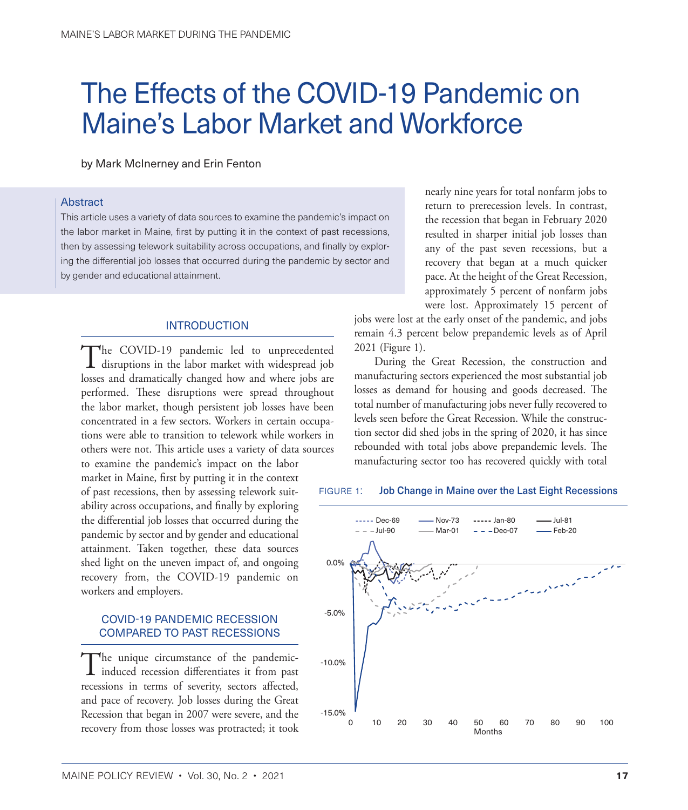# The Effects of the COVID-19 Pandemic on Maine's Labor Market and Workforce

by Mark McInerney and Erin Fenton

#### Abstract

This article uses a variety of data sources to examine the pandemic's impact on the labor market in Maine, first by putting it in the context of past recessions, then by assessing telework suitability across occupations, and finally by exploring the differential job losses that occurred during the pandemic by sector and by gender and educational attainment.

#### INTRODUCTION

The COVID-19 pandemic led to unprecedented<br>disruptions in the labor market with widespread job losses and dramatically changed how and where jobs are performed. These disruptions were spread throughout the labor market, though persistent job losses have been concentrated in a few sectors. Workers in certain occupations were able to transition to telework while workers in others were not. This article uses a variety of data sources

to examine the pandemic's impact on the labor market in Maine, first by putting it in the context of past recessions, then by assessing telework suitability across occupations, and finally by exploring the differential job losses that occurred during the pandemic by sector and by gender and educational attainment. Taken together, these data sources shed light on the uneven impact of, and ongoing recovery from, the COVID-19 pandemic on workers and employers.

# COVID-19 PANDEMIC RECESSION COMPARED TO PAST RECESSIONS

The unique circumstance of the pandemic-induced recession differentiates it from past recessions in terms of severity, sectors affected, and pace of recovery. Job losses during the Great Recession that began in 2007 were severe, and the recovery from those losses was protracted; it took

nearly nine years for total nonfarm jobs to return to prerecession levels. In contrast, the recession that began in February 2020 resulted in sharper initial job losses than any of the past seven recessions, but a recovery that began at a much quicker pace. At the height of the Great Recession, approximately 5 percent of nonfarm jobs were lost. Approximately 15 percent of

jobs were lost at the early onset of the pandemic, and jobs remain 4.3 percent below prepandemic levels as of April 2021 (Figure 1).

During the Great Recession, the construction and manufacturing sectors experienced the most substantial job losses as demand for housing and goods decreased. The total number of manufacturing jobs never fully recovered to levels seen before the Great Recession. While the construction sector did shed jobs in the spring of 2020, it has since rebounded with total jobs above prepandemic levels. The manufacturing sector too has recovered quickly with total

#### FIGURE 1: Job Change in Maine over the Last Eight Recessions

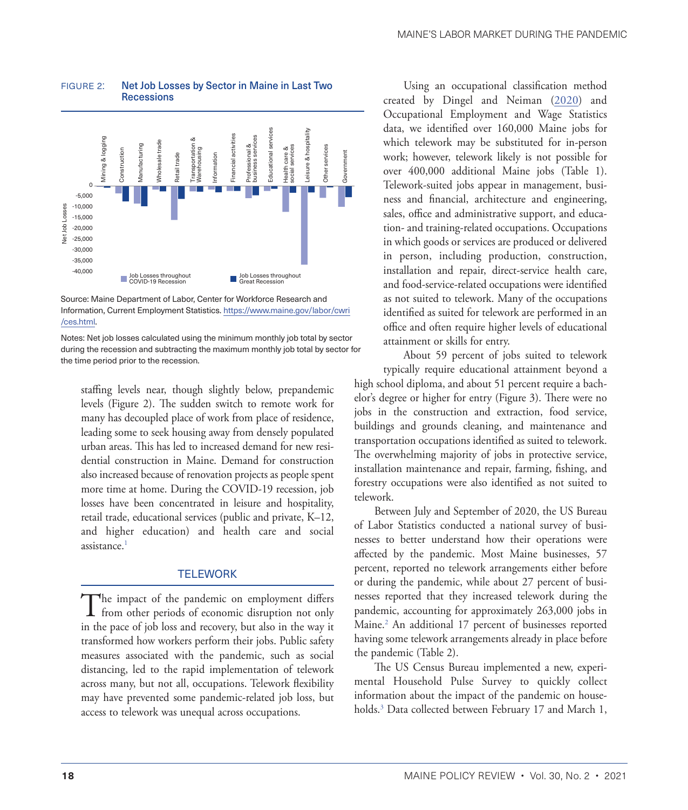

#### <span id="page-2-0"></span>figure 2: Net Job Losses by Sector in Maine in Last Two **Recessions**

Source: Maine Department of Labor, Center for Workforce Research and Information, Current Employment Statistics. [https://www.maine.gov/labor/cwri](https://www.maine.gov/labor/cwri/ces.html) [/ces.html.](https://www.maine.gov/labor/cwri/ces.html)

Notes: Net job losses calculated using the minimum monthly job total by sector during the recession and subtracting the maximum monthly job total by sector for the time period prior to the recession.

staffing levels near, though slightly below, prepandemic levels (Figure 2). The sudden switch to remote work for many has decoupled place of work from place of residence, leading some to seek housing away from densely populated urban areas. This has led to increased demand for new residential construction in Maine. Demand for construction also increased because of renovation projects as people spent more time at home. During the COVID-19 recession, job losses have been concentrated in leisure and hospitality, retail trade, educational services (public and private, K–12, and higher education) and health care and social assistance.<sup>1</sup>

## **TELEWORK**

The impact of the pandemic on employment differs<br>from other periods of economic disruption not only in the pace of job loss and recovery, but also in the way it transformed how workers perform their jobs. Public safety measures associated with the pandemic, such as social distancing, led to the rapid implementation of telework across many, but not all, occupations. Telework flexibility may have prevented some pandemic-related job loss, but access to telework was unequal across occupations.

Using an occupational classification method created by Dingel and Neiman ([2020\)](#page-9-1) and Occupational Employment and Wage Statistics data, we identified over 160,000 Maine jobs for which telework may be substituted for in-person work; however, telework likely is not possible for over 400,000 additional Maine jobs (Table 1). Telework-suited jobs appear in management, business and financial, architecture and engineering, sales, office and administrative support, and education- and training-related occupations. Occupations in which goods or services are produced or delivered in person, including production, construction, installation and repair, direct-service health care, and food-service-related occupations were identified as not suited to telework. Many of the occupations identified as suited for telework are performed in an office and often require higher levels of educational attainment or skills for entry.

About 59 percent of jobs suited to telework typically require educational attainment beyond a high school diploma, and about 51 percent require a bachelor's degree or higher for entry (Figure 3). There were no jobs in the construction and extraction, food service, buildings and grounds cleaning, and maintenance and transportation occupations identified as suited to telework. The overwhelming majority of jobs in protective service, installation maintenance and repair, farming, fishing, and forestry occupations were also identified as not suited to telework.

Between July and September of 2020, the US Bureau of Labor Statistics conducted a national survey of businesses to better understand how their operations were affected by the pandemic. Most Maine businesses, 57 percent, reported no telework arrangements either before or during the pandemic, while about 27 percent of businesses reported that they increased telework during the pandemic, accounting for approximately 263,000 jobs in Maine[.2](#page-9-0) An additional 17 percent of businesses reported having some telework arrangements already in place before the pandemic (Table 2).

The US Census Bureau implemented a new, experimental Household Pulse Survey to quickly collect information about the impact of the pandemic on households[.3](#page-9-0) Data collected between February 17 and March 1,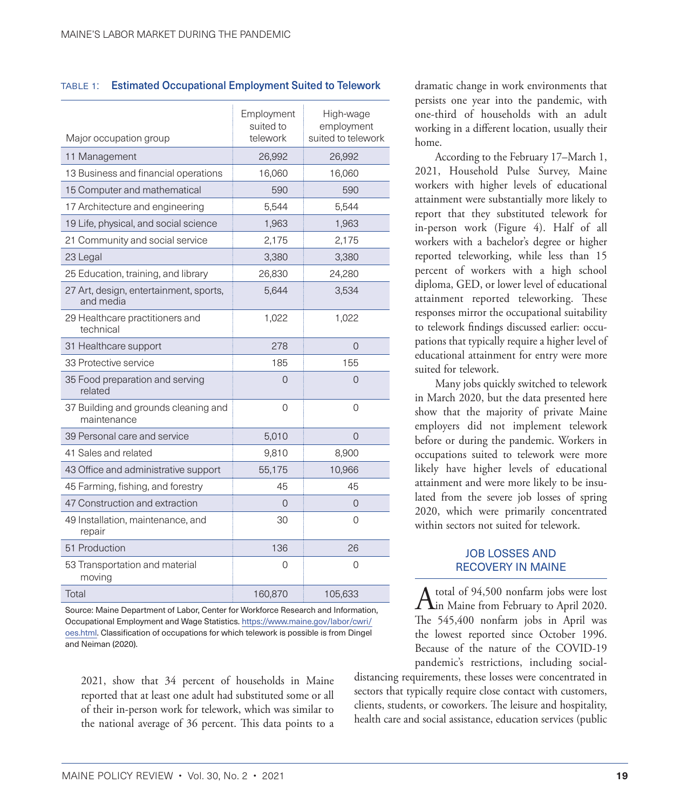## table 1: Estimated Occupational Employment Suited to Telework

| Major occupation group                              | Employment<br>suited to<br>telework | High-wage<br>employment<br>suited to telework |
|-----------------------------------------------------|-------------------------------------|-----------------------------------------------|
| 11 Management                                       | 26,992                              | 26,992                                        |
| 13 Business and financial operations                | 16,060                              | 16,060                                        |
|                                                     | 590                                 | 590                                           |
| 15 Computer and mathematical                        |                                     |                                               |
| 17 Architecture and engineering                     | 5,544                               | 5,544                                         |
| 19 Life, physical, and social science               | 1,963                               | 1,963                                         |
| 21 Community and social service                     | 2,175                               | 2,175                                         |
| 23 Legal                                            | 3,380                               | 3,380                                         |
| 25 Education, training, and library                 | 26,830                              | 24,280                                        |
| 27 Art, design, entertainment, sports,<br>and media | 5,644                               | 3,534                                         |
| 29 Healthcare practitioners and<br>technical        | 1,022                               | 1,022                                         |
| 31 Healthcare support                               | 278                                 | $\Omega$                                      |
| 33 Protective service                               | 185                                 | 155                                           |
| 35 Food preparation and serving<br>related          | 0                                   | 0                                             |
| 37 Building and grounds cleaning and<br>maintenance | 0                                   | 0                                             |
| 39 Personal care and service                        | 5,010                               | $\Omega$                                      |
| 41 Sales and related                                | 9,810                               | 8,900                                         |
| 43 Office and administrative support                | 55,175                              | 10,966                                        |
| 45 Farming, fishing, and forestry                   | 45                                  | 45                                            |
| 47 Construction and extraction                      | 0                                   | 0                                             |
| 49 Installation, maintenance, and<br>repair         | 30                                  | 0                                             |
| 51 Production                                       | 136                                 | 26                                            |
| 53 Transportation and material<br>moving            | 0                                   | 0                                             |
| Total                                               | 160,870                             | 105,633                                       |

Source: Maine Department of Labor, Center for Workforce Research and Information, Occupational Employment and Wage Statistics. [https://www.maine.gov/labor/cwri/](https://www.maine.gov/labor/cwri/oes.html) [oes.html](https://www.maine.gov/labor/cwri/oes.html). Classification of occupations for which telework is possible is from Dingel and Neiman (2020).

2021, show that 34 percent of households in Maine reported that at least one adult had substituted some or all of their in-person work for telework, which was similar to the national average of 36 percent. This data points to a dramatic change in work environments that persists one year into the pandemic, with one-third of households with an adult working in a different location, usually their home.

According to the February 17–March 1, 2021, Household Pulse Survey, Maine workers with higher levels of educational attainment were substantially more likely to report that they substituted telework for in-person work (Figure 4). Half of all workers with a bachelor's degree or higher reported teleworking, while less than 15 percent of workers with a high school diploma, GED, or lower level of educational attainment reported teleworking. These responses mirror the occupational suitability to telework findings discussed earlier: occupations that typically require a higher level of educational attainment for entry were more suited for telework.

Many jobs quickly switched to telework in March 2020, but the data presented here show that the majority of private Maine employers did not implement telework before or during the pandemic. Workers in occupations suited to telework were more likely have higher levels of educational attainment and were more likely to be insulated from the severe job losses of spring 2020, which were primarily concentrated within sectors not suited for telework.

# JOB LOSSES AND RECOVERY IN MAINE

A total of 94,500 nonfarm jobs were lost<br>in Maine from February to April 2020. The 545,400 nonfarm jobs in April was the lowest reported since October 1996. Because of the nature of the COVID-19 pandemic's restrictions, including social-

distancing requirements, these losses were concentrated in sectors that typically require close contact with customers, clients, students, or coworkers. The leisure and hospitality, health care and social assistance, education services (public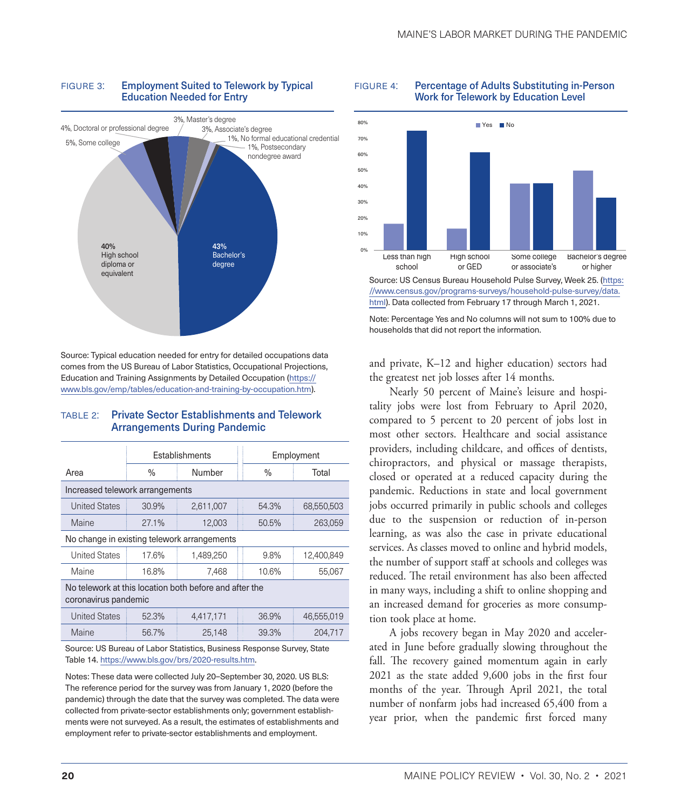

#### FIGURE 3: Employment Suited to Telework by Typical Education Needed for Entry

Source: Typical education needed for entry for detailed occupations data comes from the US Bureau of Labor Statistics, Occupational Projections, Education and Training Assignments by Detailed Occupation [\(https://](https://www.bls.gov/emp/tables/education-and-training-by-occupation.htm) [www.bls.gov/emp/tables/education-and-training-by-occupation.htm\)](https://www.bls.gov/emp/tables/education-and-training-by-occupation.htm).

# table 2: Private Sector Establishments and Telework Arrangements During Pandemic

|                                             | Establishments |           | Employment |            |
|---------------------------------------------|----------------|-----------|------------|------------|
| Area                                        | %              | Number    | $\%$       | Total      |
| Increased telework arrangements             |                |           |            |            |
| <b>United States</b>                        | 30.9%          | 2,611,007 | 54.3%      | 68,550,503 |
| Maine                                       | 27.1%          | 12.003    | 50.5%      | 263.059    |
| No change in existing telework arrangements |                |           |            |            |
| <b>United States</b>                        | 17.6%          | 1,489,250 | 9.8%       | 12,400,849 |

| United States | 17.6% | 1.489.250 | $9.8\%$ | 12,400,849 |
|---------------|-------|-----------|---------|------------|
| Maine         | 16.8% | 7.468     | 10.6%   | 55.067     |

No telework at this location both before and after the coronavirus pandemic

| United States | 52.3% | 4.417.171 | 36.9% | 46.555.019 |
|---------------|-------|-----------|-------|------------|
| <b>Maine</b>  | 56.7% | 25.148    | 39.3% | 204.717    |

Source: US Bureau of Labor Statistics, Business Response Survey, State Table 14. [https://www.bls.gov/brs/2020-results.htm.](https://www.bls.gov/brs/2020-results.htm)

Notes: These data were collected July 20–September 30, 2020. US BLS: The reference period for the survey was from January 1, 2020 (before the pandemic) through the date that the survey was completed. The data were collected from private-sector establishments only; government establishments were not surveyed. As a result, the estimates of establishments and employment refer to private-sector establishments and employment.





[html](https://www.census.gov/programs-surveys/household-pulse-survey/data.html)). Data collected from February 17 through March 1, 2021.

Note: Percentage Yes and No columns will not sum to 100% due to households that did not report the information.

and private, K–12 and higher education) sectors had the greatest net job losses after 14 months.

Nearly 50 percent of Maine's leisure and hospitality jobs were lost from February to April 2020, compared to 5 percent to 20 percent of jobs lost in most other sectors. Healthcare and social assistance providers, including childcare, and offices of dentists, chiropractors, and physical or massage therapists, closed or operated at a reduced capacity during the pandemic. Reductions in state and local government jobs occurred primarily in public schools and colleges due to the suspension or reduction of in-person learning, as was also the case in private educational services. As classes moved to online and hybrid models, the number of support staff at schools and colleges was reduced. The retail environment has also been affected in many ways, including a shift to online shopping and an increased demand for groceries as more consumption took place at home.

A jobs recovery began in May 2020 and accelerated in June before gradually slowing throughout the fall. The recovery gained momentum again in early 2021 as the state added 9,600 jobs in the first four months of the year. Through April 2021, the total number of nonfarm jobs had increased 65,400 from a year prior, when the pandemic first forced many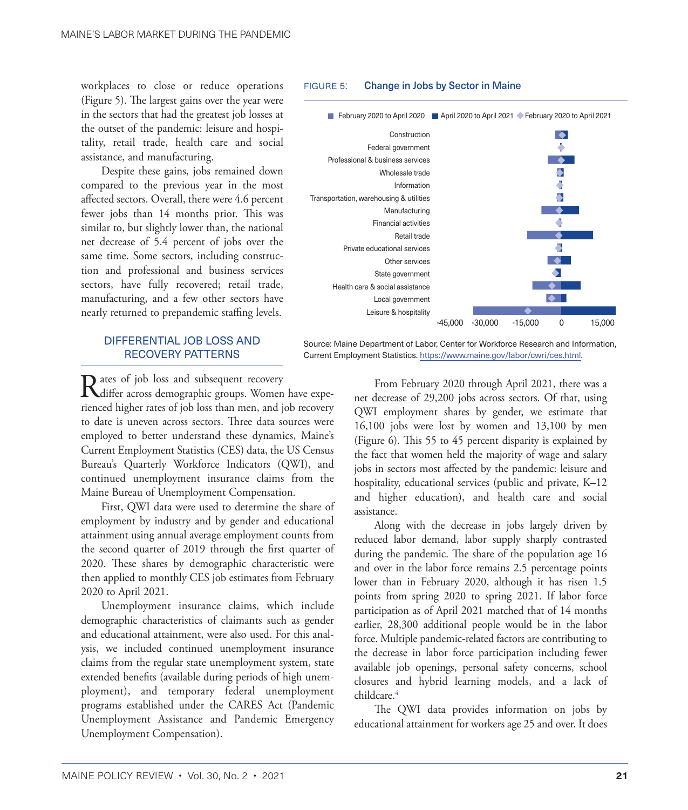<span id="page-5-0"></span>workplaces to close or reduce operations (Figure 5). The largest gains over the year were in the sectors that had the greatest job losses at the outset of the pandemic: leisure and hospitality, retail trade, health care and social assistance, and manufacturing.

Despite these gains, jobs remained down compared to the previous year in the most affected sectors. Overall, there were 4.6 percent fewer jobs than 14 months prior. This was similar to, but slightly lower than, the national net decrease of 5.4 percent of jobs over the same time. Some sectors, including construction and professional and business services sectors, have fully recovered; retail trade, manufacturing, and a few other sectors have nearly returned to prepandemic staffing levels.

# DIFFERENTIAL JOB LOSS AND RECOVERY PATTERNS

Rates of job loss and subsequent recovery<br>differ across demographic groups. Women have experienced higher rates of job loss than men, and job recovery to date is uneven across sectors. Three data sources were employed to better understand these dynamics, Maine's Current Employment Statistics (CES) data, the US Census Bureau's Quarterly Workforce Indicators (QWI), and continued unemployment insurance claims from the Maine Bureau of Unemployment Compensation.

First, QWI data were used to determine the share of employment by industry and by gender and educational attainment using annual average employment counts from the second quarter of 2019 through the first quarter of 2020. These shares by demographic characteristic were then applied to monthly CES job estimates from February 2020 to April 2021.

Unemployment insurance claims, which include demographic characteristics of claimants such as gender and educational attainment, were also used. For this analysis, we included continued unemployment insurance claims from the regular state unemployment system, state extended benefits (available during periods of high unemployment), and temporary federal unemployment programs established under the CARES Act (Pandemic Unemployment Assistance and Pandemic Emergency Unemployment Compensation).

#### FIGURE 5: Change in Jobs by Sector in Maine



Source: Maine Department of Labor, Center for Workforce Research and Information, Current Employment Statistics. [https://www.maine.gov/labor/cwri/ces.html.](https://www.maine.gov/labor/cwri/ces.html)

> From February 2020 through April 2021, there was a net decrease of 29,200 jobs across sectors. Of that, using QWI employment shares by gender, we estimate that 16,100 jobs were lost by women and 13,100 by men (Figure 6). This 55 to 45 percent disparity is explained by the fact that women held the majority of wage and salary jobs in sectors most affected by the pandemic: leisure and hospitality, educational services (public and private, K–12 and higher education), and health care and social assistance.

> Along with the decrease in jobs largely driven by reduced labor demand, labor supply sharply contrasted during the pandemic. The share of the population age 16 and over in the labor force remains 2.5 percentage points lower than in February 2020, although it has risen 1.5 points from spring 2020 to spring 2021. If labor force participation as of April 2021 matched that of 14 months earlier, 28,300 additional people would be in the labor force. Multiple pandemic-related factors are contributing to the decrease in labor force participation including fewer available job openings, personal safety concerns, school closures and hybrid learning models, and a lack of childcare.<sup>4</sup>

> The QWI data provides information on jobs by educational attainment for workers age 25 and over. It does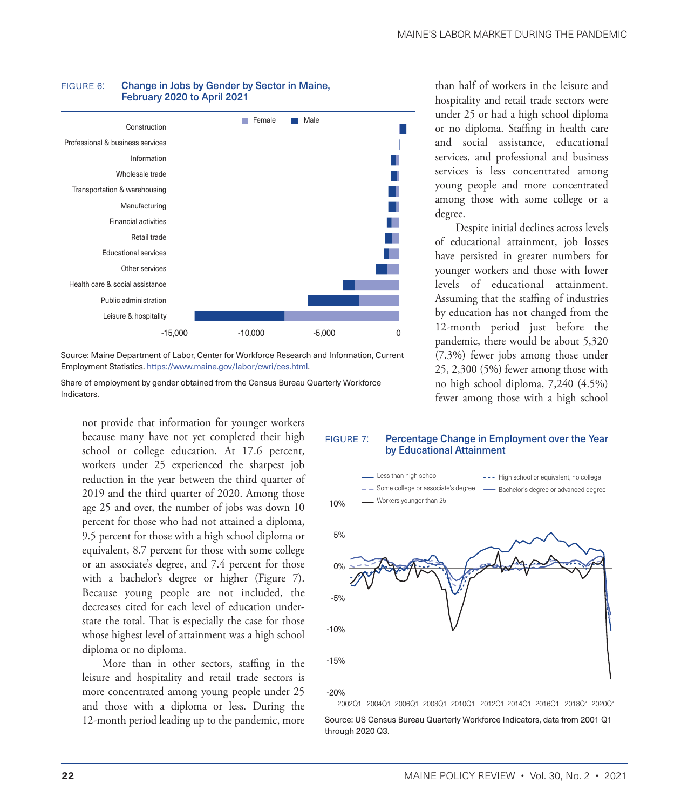

#### FIGURE 6: Change in Jobs by Gender by Sector in Maine, February 2020 to April 2021

Source: Maine Department of Labor, Center for Workforce Research and Information, Current Employment Statistics. [https://www.maine.gov/labor/cwri/ces.html.](https://www.maine.gov/labor/cwri/ces.html)

Share of employment by gender obtained from the Census Bureau Quarterly Workforce Indicators.

not provide that information for younger workers because many have not yet completed their high school or college education. At 17.6 percent, workers under 25 experienced the sharpest job reduction in the year between the third quarter of 2019 and the third quarter of 2020. Among those age 25 and over, the number of jobs was down 10 percent for those who had not attained a diploma, 9.5 percent for those with a high school diploma or equivalent, 8.7 percent for those with some college or an associate's degree, and 7.4 percent for those with a bachelor's degree or higher (Figure 7). Because young people are not included, the decreases cited for each level of education understate the total. That is especially the case for those whose highest level of attainment was a high school diploma or no diploma.

More than in other sectors, staffing in the leisure and hospitality and retail trade sectors is more concentrated among young people under 25 and those with a diploma or less. During the 12-month period leading up to the pandemic, more

than half of workers in the leisure and hospitality and retail trade sectors were under 25 or had a high school diploma or no diploma. Staffing in health care and social assistance, educational services, and professional and business services is less concentrated among young people and more concentrated among those with some college or a degree.

Despite initial declines across levels of educational attainment, job losses have persisted in greater numbers for younger workers and those with lower levels of educational attainment. Assuming that the staffing of industries by education has not changed from the 12-month period just before the pandemic, there would be about 5,320 (7.3%) fewer jobs among those under 25, 2,300 (5%) fewer among those with no high school diploma, 7,240 (4.5%) fewer among those with a high school

#### FIGURE 7: Percentage Change in Employment over the Year by Educational Attainment



Source: US Census Bureau Quarterly Workforce Indicators, data from 2001 Q1 through 2020 Q3.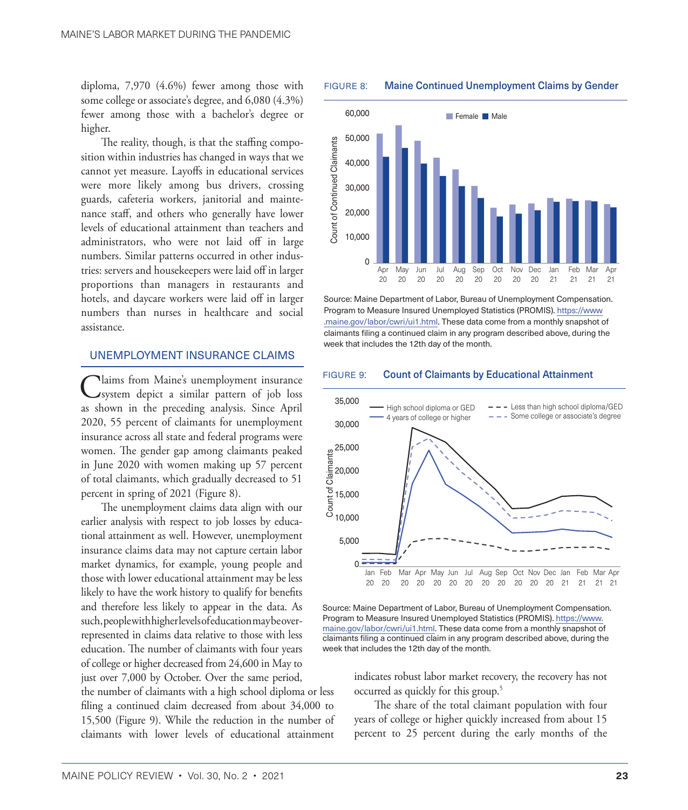<span id="page-7-0"></span>diploma, 7,970 (4.6%) fewer among those with some college or associate's degree, and 6,080 (4.3%) fewer among those with a bachelor's degree or higher.

The reality, though, is that the staffing composition within industries has changed in ways that we cannot yet measure. Layoffs in educational services were more likely among bus drivers, crossing guards, cafeteria workers, janitorial and maintenance staff, and others who generally have lower levels of educational attainment than teachers and administrators, who were not laid off in large numbers. Similar patterns occurred in other industries: servers and housekeepers were laid off in larger proportions than managers in restaurants and hotels, and daycare workers were laid off in larger numbers than nurses in healthcare and social assistance.

# UNEMPLOYMENT INSURANCE CLAIMS

Claims from Maine's unemployment insurance<br>
System depict a similar pattern of job loss as shown in the preceding analysis. Since April 2020, 55 percent of claimants for unemployment insurance across all state and federal programs were women. The gender gap among claimants peaked in June 2020 with women making up 57 percent of total claimants, which gradually decreased to 51 percent in spring of 2021 (Figure 8).

The unemployment claims data align with our earlier analysis with respect to job losses by educational attainment as well. However, unemployment insurance claims data may not capture certain labor market dynamics, for example, young people and those with lower educational attainment may be less likely to have the work history to qualify for benefits and therefore less likely to appear in the data. As such, people with higher levels of education may be overrepresented in claims data relative to those with less education. The number of claimants with four years of college or higher decreased from 24,600 in May to just over 7,000 by October. Over the same period,

the number of claimants with a high school diploma or less filing a continued claim decreased from about 34,000 to 15,500 (Figure 9). While the reduction in the number of claimants with lower levels of educational attainment





Source: Maine Department of Labor, Bureau of Unemployment Compensation. Program to Measure Insured Unemployed Statistics (PROMIS). [https://www](https://www.maine.gov/labor/cwri/ui1.html) [.maine.gov/labor/cwri/ui1.html](https://www.maine.gov/labor/cwri/ui1.html). These data come from a monthly snapshot of claimants filing a continued claim in any program described above, during the week that includes the 12th day of the month.

#### figure 9: Count of Claimants by Educational Attainment



Source: Maine Department of Labor, Bureau of Unemployment Compensation. Program to Measure Insured Unemployed Statistics (PROMIS). [https://www.](https://www.maine.gov/labor/cwri/ui1.html) [maine.gov/labor/cwri/ui1.html.](https://www.maine.gov/labor/cwri/ui1.html) These data come from a monthly snapshot of claimants filing a continued claim in any program described above, during the week that includes the 12th day of the month.

indicates robust labor market recovery, the recovery has not occurred as quickly for this group[.5](#page-9-0)

The share of the total claimant population with four years of college or higher quickly increased from about 15 percent to 25 percent during the early months of the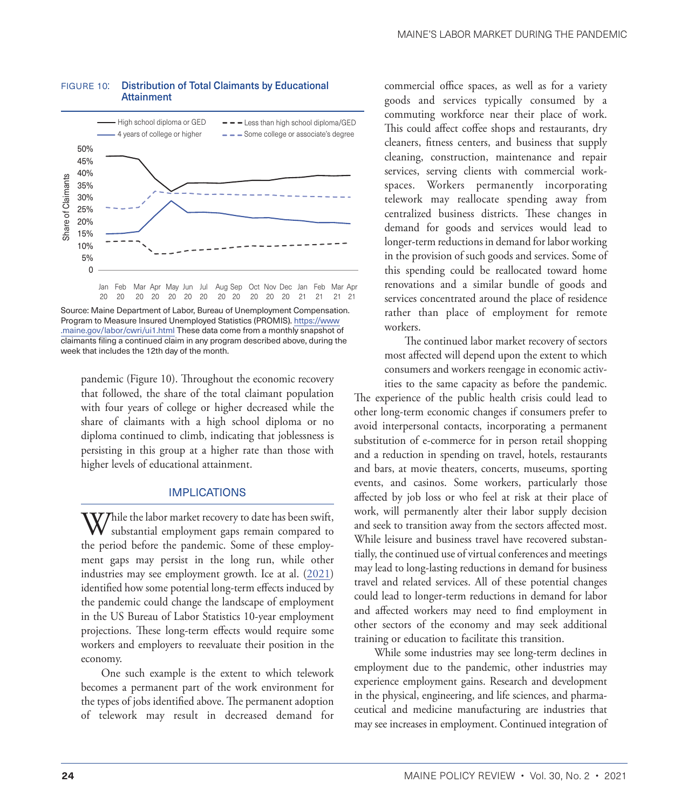

#### figure 10: Distribution of Total Claimants by Educational Attainment

Source: Maine Department of Labor, Bureau of Unemployment Compensation. Program to Measure Insured Unemployed Statistics (PROMIS). [https://www](https://www.maine.gov/labor/cwri/ui1.html) [.maine.gov/labor/cwri/ui1.html](https://www.maine.gov/labor/cwri/ui1.html) These data come from a monthly snapshot of claimants filing a continued claim in any program described above, during the week that includes the 12th day of the month.

pandemic (Figure 10). Throughout the economic recovery that followed, the share of the total claimant population with four years of college or higher decreased while the share of claimants with a high school diploma or no diploma continued to climb, indicating that joblessness is persisting in this group at a higher rate than those with higher levels of educational attainment.

## IMPLICATIONS

While the labor market recovery to date has been swift,<br>substantial employment gaps remain compared to the period before the pandemic. Some of these employment gaps may persist in the long run, while other industries may see employment growth. Ice at al. ([2021\)](#page-9-2) identified how some potential long-term effects induced by the pandemic could change the landscape of employment in the US Bureau of Labor Statistics 10-year employment projections. These long-term effects would require some workers and employers to reevaluate their position in the economy.

One such example is the extent to which telework becomes a permanent part of the work environment for the types of jobs identified above. The permanent adoption of telework may result in decreased demand for

commercial office spaces, as well as for a variety goods and services typically consumed by a commuting workforce near their place of work. This could affect coffee shops and restaurants, dry cleaners, fitness centers, and business that supply cleaning, construction, maintenance and repair services, serving clients with commercial workspaces. Workers permanently incorporating telework may reallocate spending away from centralized business districts. These changes in demand for goods and services would lead to longer-term reductions in demand for labor working in the provision of such goods and services. Some of this spending could be reallocated toward home renovations and a similar bundle of goods and services concentrated around the place of residence rather than place of employment for remote workers.

The continued labor market recovery of sectors most affected will depend upon the extent to which consumers and workers reengage in economic activities to the same capacity as before the pandemic.

The experience of the public health crisis could lead to other long-term economic changes if consumers prefer to avoid interpersonal contacts, incorporating a permanent substitution of e-commerce for in person retail shopping and a reduction in spending on travel, hotels, restaurants and bars, at movie theaters, concerts, museums, sporting events, and casinos. Some workers, particularly those affected by job loss or who feel at risk at their place of work, will permanently alter their labor supply decision and seek to transition away from the sectors affected most. While leisure and business travel have recovered substantially, the continued use of virtual conferences and meetings may lead to long-lasting reductions in demand for business travel and related services. All of these potential changes could lead to longer-term reductions in demand for labor and affected workers may need to find employment in other sectors of the economy and may seek additional training or education to facilitate this transition.

While some industries may see long-term declines in employment due to the pandemic, other industries may experience employment gains. Research and development in the physical, engineering, and life sciences, and pharmaceutical and medicine manufacturing are industries that may see increases in employment. Continued integration of